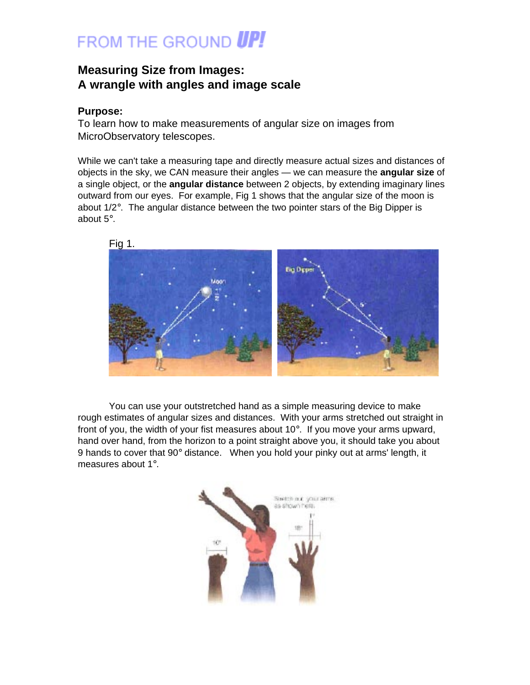# FROM THE GROUND **UP!**

### **Measuring Size from Images: A wrangle with angles and image scale**

#### **Purpose:**

To learn how to make measurements of angular size on images from MicroObservatory telescopes.

While we can't take a measuring tape and directly measure actual sizes and distances of objects in the sky, we CAN measure their angles — we can measure the **angular size** of a single object, or the **angular distance** between 2 objects, by extending imaginary lines outward from our eyes. For example, Fig 1 shows that the angular size of the moon is about  $1/2^{\circ}$ . The angular distance between the two pointer stars of the Big Dipper is about 5°.



You can use your outstretched hand as a simple measuring device to make rough estimates of angular sizes and distances. With your arms stretched out straight in front of you, the width of your fist measures about  $10^\circ$ . If you move your arms upward, hand over hand, from the horizon to a point straight above you, it should take you about 9 hands to cover that  $90^{\circ}$  distance. When you hold your pinky out at arms' length, it measures about 1°.

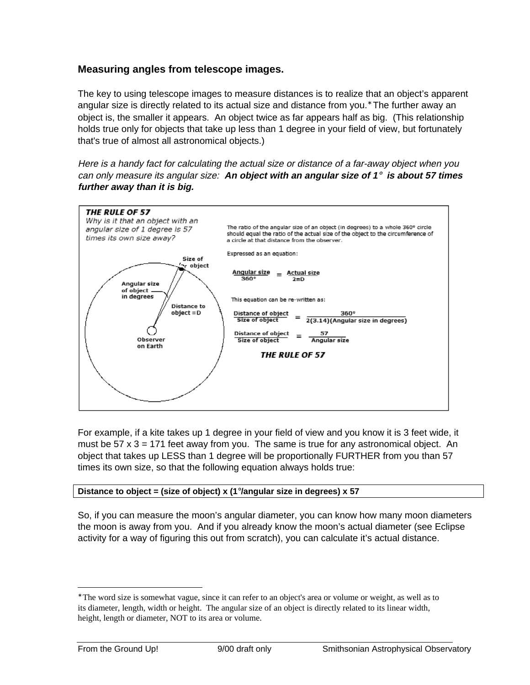#### **Measuring angles from telescope images.**

The key to using telescope images to measure distances is to realize that an object's apparent angular size is directly related to its actual size and distance from you.<sup>∗</sup> The further away an object is, the smaller it appears. An object twice as far appears half as big. (This relationship holds true only for objects that take up less than 1 degree in your field of view, but fortunately that's true of almost all astronomical objects.)

Here is a handy fact for calculating the actual size or distance of a far-away object when you can only measure its angular size: **An object with an angular size of 1**° **is about 57 times further away than it is big.**



For example, if a kite takes up 1 degree in your field of view and you know it is 3 feet wide, it must be  $57 \times 3 = 171$  feet away from you. The same is true for any astronomical object. An object that takes up LESS than 1 degree will be proportionally FURTHER from you than 57 times its own size, so that the following equation always holds true:

#### **Distance to object = (size of object) x (1**°**/angular size in degrees) x 57**

So, if you can measure the moon's angular diameter, you can know how many moon diameters the moon is away from you. And if you already know the moon's actual diameter (see Eclipse activity for a way of figuring this out from scratch), you can calculate it's actual distance.

 $\overline{a}$ 

<sup>∗</sup> The word size is somewhat vague, since it can refer to an object's area or volume or weight, as well as to its diameter, length, width or height. The angular size of an object is directly related to its linear width, height, length or diameter, NOT to its area or volume.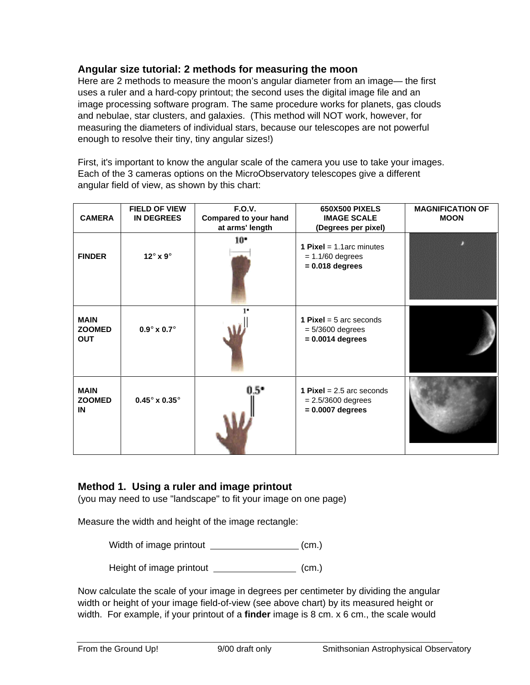#### **Angular size tutorial: 2 methods for measuring the moon**

Here are 2 methods to measure the moon's angular diameter from an image— the first uses a ruler and a hard-copy printout; the second uses the digital image file and an image processing software program. The same procedure works for planets, gas clouds and nebulae, star clusters, and galaxies. (This method will NOT work, however, for measuring the diameters of individual stars, because our telescopes are not powerful enough to resolve their tiny, tiny angular sizes!)

First, it's important to know the angular scale of the camera you use to take your images. Each of the 3 cameras options on the MicroObservatory telescopes give a different angular field of view, as shown by this chart:

| <b>CAMERA</b>                              | <b>FIELD OF VIEW</b><br><b>IN DEGREES</b> | <b>F.O.V.</b><br>Compared to your hand<br>at arms' length | <b>650X500 PIXELS</b><br><b>IMAGE SCALE</b><br>(Degrees per pixel)               | <b>MAGNIFICATION OF</b><br><b>MOON</b> |
|--------------------------------------------|-------------------------------------------|-----------------------------------------------------------|----------------------------------------------------------------------------------|----------------------------------------|
| <b>FINDER</b>                              | 12 $^{\circ}$ x 9 $^{\circ}$              | $10^{\circ}$                                              | <b>1 Pixel</b> = $1.1$ arc minutes<br>$= 1.1/60$ degrees<br>$= 0.018$ degrees    |                                        |
| <b>MAIN</b><br><b>ZOOMED</b><br><b>OUT</b> | $0.9^\circ \times 0.7^\circ$              | $\mathbf{I}$                                              | <b>1 Pixel</b> = $5$ arc seconds<br>$= 5/3600$ degrees<br>$= 0.0014$ degrees     |                                        |
| <b>MAIN</b><br><b>ZOOMED</b><br>IN         | $0.45^\circ \times 0.35^\circ$            | 0.5°                                                      | <b>1 Pixel</b> = $2.5$ arc seconds<br>$= 2.5/3600$ degrees<br>$= 0.0007$ degrees |                                        |

#### **Method 1. Using a ruler and image printout**

(you may need to use "landscape" to fit your image on one page)

Measure the width and height of the image rectangle:

Width of image printout (cm.)

Height of image printout (cm.)

Now calculate the scale of your image in degrees per centimeter by dividing the angular width or height of your image field-of-view (see above chart) by its measured height or width. For example, if your printout of a **finder** image is 8 cm. x 6 cm., the scale would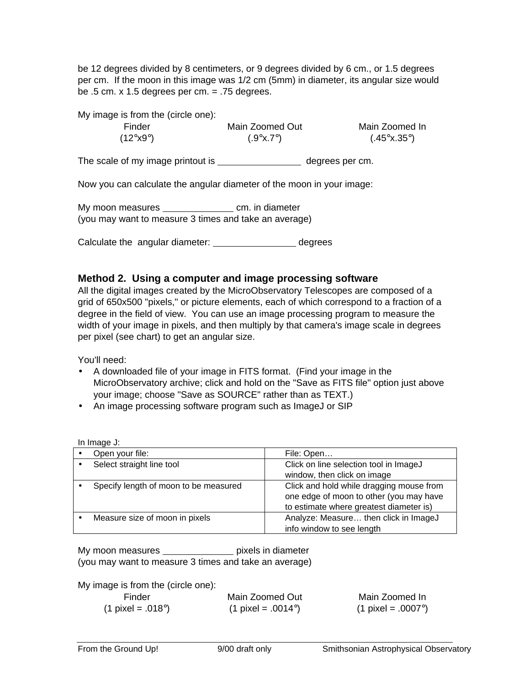be 12 degrees divided by 8 centimeters, or 9 degrees divided by 6 cm., or 1.5 degrees per cm. If the moon in this image was 1/2 cm (5mm) in diameter, its angular size would be  $.5$  cm. x 1.5 degrees per cm.  $= .75$  degrees.

| My image is from the (circle one): |                        |                                 |
|------------------------------------|------------------------|---------------------------------|
| Finder                             | Main Zoomed Out        | Main Zoomed In                  |
| $(12^{\circ} \text{X}9^{\circ})$   | $(.9^\circ x.7^\circ)$ | $(.45^\circ \text{x}.35^\circ)$ |
|                                    |                        |                                 |

The scale of my image printout is \_\_\_\_\_\_\_\_\_\_\_\_\_\_\_\_\_\_\_\_\_\_\_ degrees per cm.

Now you can calculate the angular diameter of the moon in your image:

My moon measures cm. in diameter (you may want to measure 3 times and take an average)

Calculate the angular diameter: degrees

#### **Method 2. Using a computer and image processing software**

All the digital images created by the MicroObservatory Telescopes are composed of a grid of 650x500 "pixels," or picture elements, each of which correspond to a fraction of a degree in the field of view. You can use an image processing program to measure the width of your image in pixels, and then multiply by that camera's image scale in degrees per pixel (see chart) to get an angular size.

You'll need:

- A downloaded file of your image in FITS format. (Find your image in the MicroObservatory archive; click and hold on the "Save as FITS file" option just above your image; choose "Save as SOURCE" rather than as TEXT.)
- An image processing software program such as ImageJ or SIP

| In Image $J$ :                        |                                          |
|---------------------------------------|------------------------------------------|
| Open your file:                       | File: Open                               |
| Select straight line tool             | Click on line selection tool in ImageJ   |
|                                       | window, then click on image              |
| Specify length of moon to be measured | Click and hold while dragging mouse from |
|                                       | one edge of moon to other (you may have  |
|                                       | to estimate where greatest diameter is)  |
| Measure size of moon in pixels        | Analyze: Measure then click in ImageJ    |
|                                       | info window to see length                |

| My moon measures                                      |  | pixels in diameter |
|-------------------------------------------------------|--|--------------------|
| (you may want to measure 3 times and take an average) |  |                    |

My image is from the (circle one):

| Finder                       | Main Zoomed Out                     | Main Zoomed In                |
|------------------------------|-------------------------------------|-------------------------------|
| (1 pixel = .018 $^{\circ}$ ) | $(1 \text{ pixel} = .0014^{\circ})$ | (1 pixel = .0007 $^{\circ}$ ) |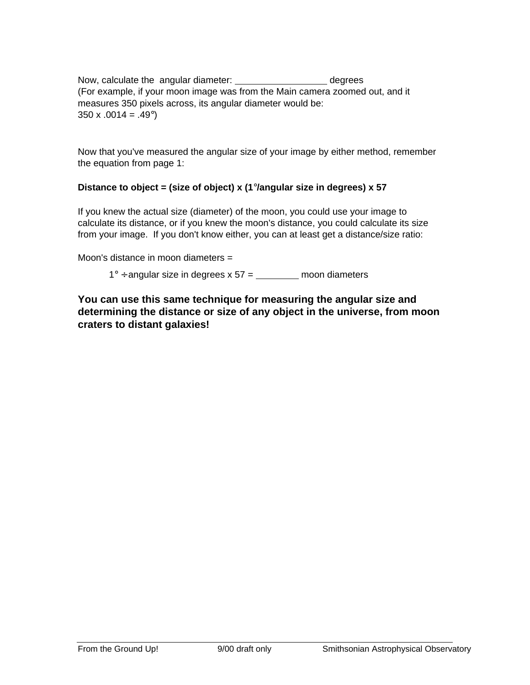Now, calculate the angular diameter: \_\_\_\_\_\_\_\_\_\_\_\_\_\_\_\_\_\_\_\_\_\_\_\_\_ degrees (For example, if your moon image was from the Main camera zoomed out, and it measures 350 pixels across, its angular diameter would be:  $350 \times 0.0014 = 0.49^{\circ}$ 

Now that you've measured the angular size of your image by either method, remember the equation from page 1:

#### **Distance to object = (size of object) x (1**°**/angular size in degrees) x 57**

If you knew the actual size (diameter) of the moon, you could use your image to calculate its distance, or if you knew the moon's distance, you could calculate its size from your image. If you don't know either, you can at least get a distance/size ratio:

Moon's distance in moon diameters =

 $1^\circ$  ÷ angular size in degrees x 57 = \_\_\_\_\_\_\_\_\_ moon diameters

**You can use this same technique for measuring the angular size and determining the distance or size of any object in the universe, from moon craters to distant galaxies!**